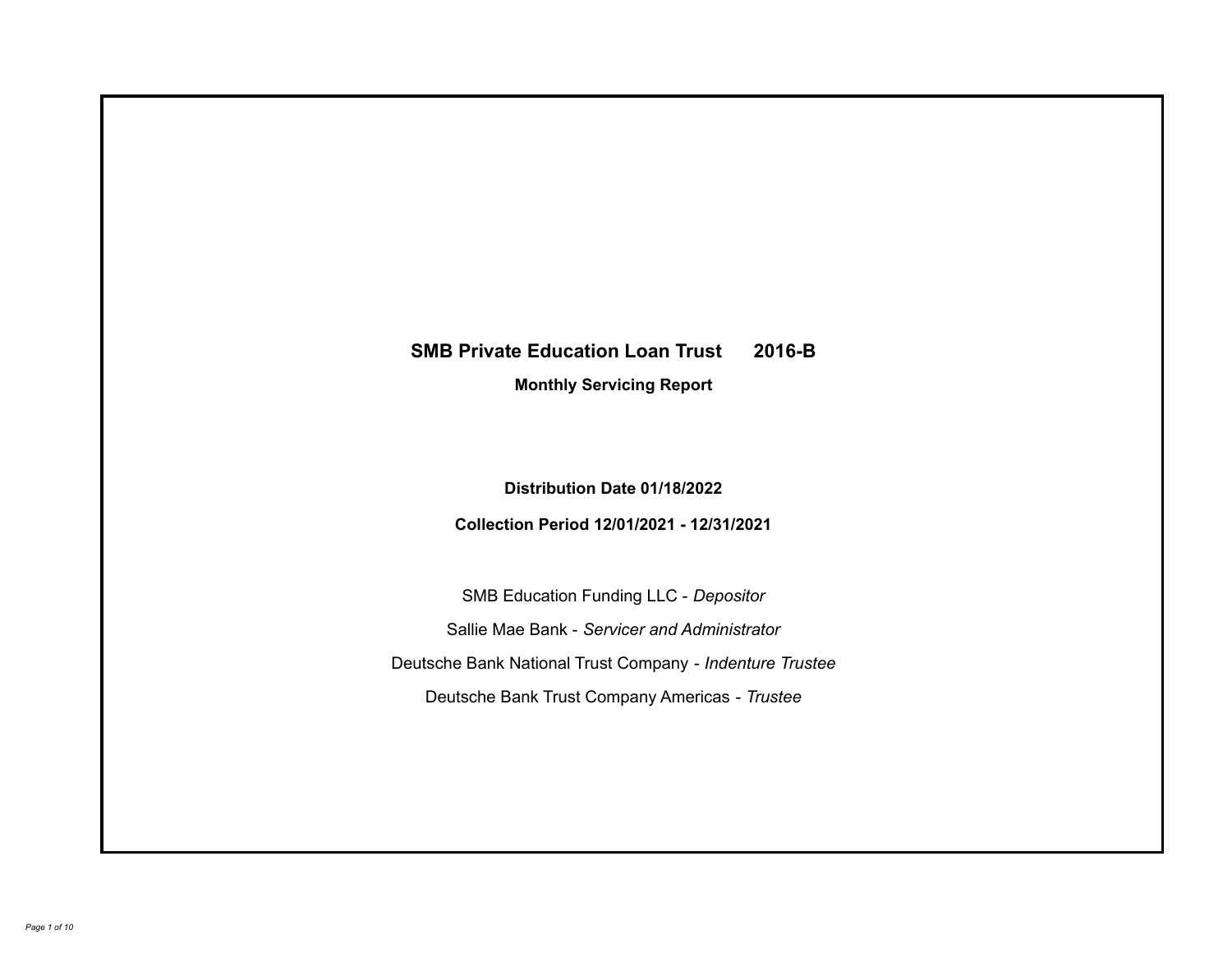# **SMB Private Education Loan Trust 2016-B**

**Monthly Servicing Report**

**Distribution Date 01/18/2022**

**Collection Period 12/01/2021 - 12/31/2021**

SMB Education Funding LLC - *Depositor* Sallie Mae Bank - *Servicer and Administrator* Deutsche Bank National Trust Company - *Indenture Trustee* Deutsche Bank Trust Company Americas - *Trustee*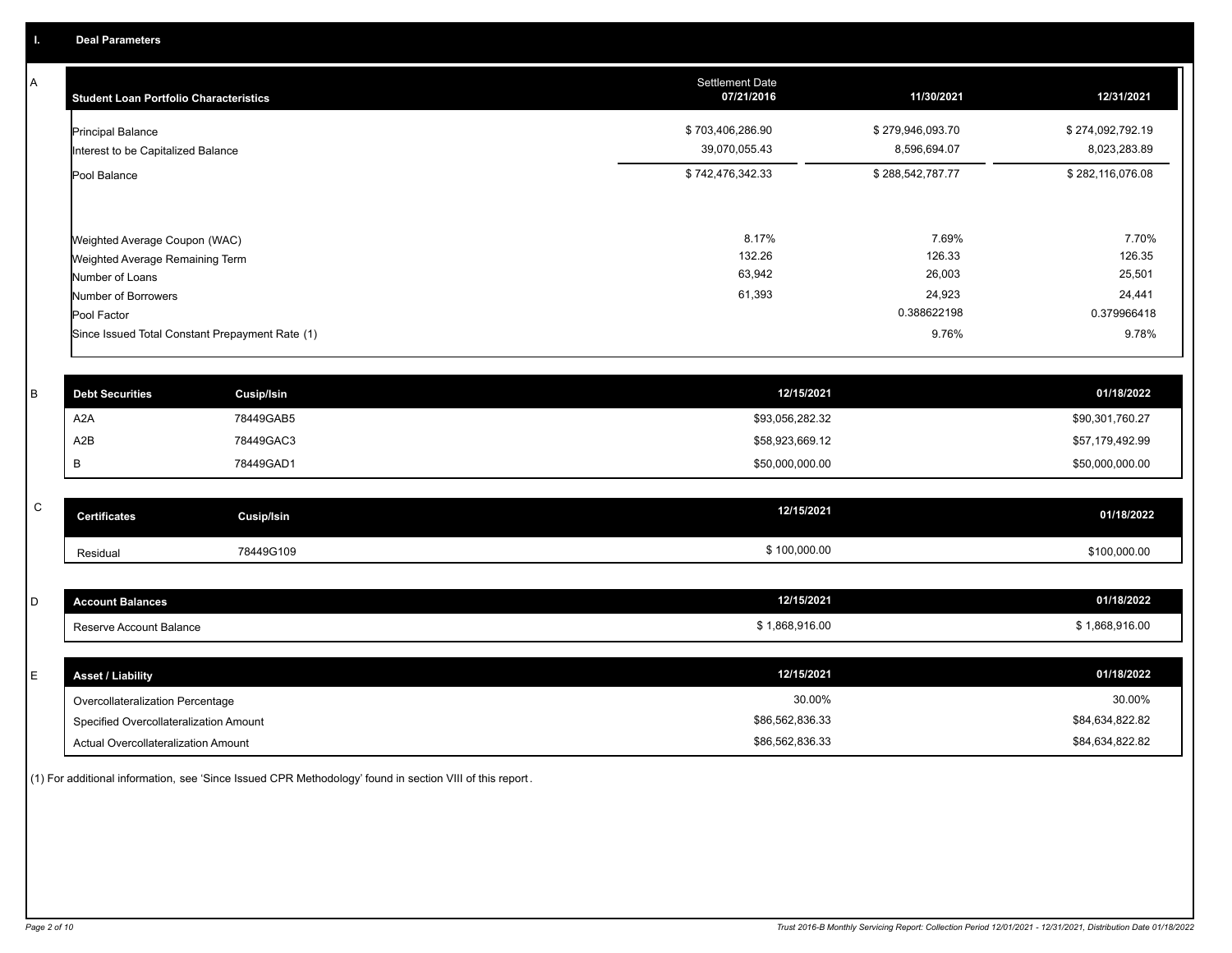A

| <b>Student Loan Portfolio Characteristics</b>                                       | <b>Settlement Date</b><br>07/21/2016 | 11/30/2021                       | 12/31/2021                       |
|-------------------------------------------------------------------------------------|--------------------------------------|----------------------------------|----------------------------------|
| <b>Principal Balance</b><br>Interest to be Capitalized Balance                      | \$703,406,286.90<br>39,070,055.43    | \$279,946,093.70<br>8,596,694.07 | \$274,092,792.19<br>8,023,283.89 |
| Pool Balance                                                                        | \$742,476,342.33                     | \$288,542,787.77                 | \$282,116,076.08                 |
| Weighted Average Coupon (WAC)<br>Weighted Average Remaining Term<br>Number of Loans | 8.17%<br>132.26<br>63,942            | 7.69%<br>126.33<br>26,003        | 7.70%<br>126.35<br>25,501        |
| Number of Borrowers                                                                 | 61,393                               | 24,923                           | 24,441                           |
| Pool Factor                                                                         |                                      | 0.388622198                      | 0.379966418                      |
| Since Issued Total Constant Prepayment Rate (1)                                     |                                      | 9.76%                            | 9.78%                            |

| <b>Debt Securities</b> | Cusip/Isin | 12/15/2021      | 01/18/2022      |
|------------------------|------------|-----------------|-----------------|
| A <sub>2</sub> A       | 78449GAB5  | \$93,056,282.32 | \$90,301,760.27 |
| A2B                    | 78449GAC3  | \$58,923,669.12 | \$57,179,492.99 |
|                        | 78449GAD1  | \$50,000,000.00 | \$50,000,000.00 |
|                        |            |                 |                 |

| $\sim$<br>ີ | <b>Certificates</b> | Cusip/Isin | 12/15/2021 | 01/18/2022   |
|-------------|---------------------|------------|------------|--------------|
|             | Residual            | 78449G109  | 100,000.00 | \$100,000.00 |

| $\sim$<br>ັ | unt Balances<br>Ateleio. | 12/15/2021   | 01/18/2022   |
|-------------|--------------------------|--------------|--------------|
|             | Reserve Account Balance  | 1,868,916.00 | 1,868,916.00 |

| <b>Asset / Liability</b>               | 12/15/2021      | 01/18/2022      |
|----------------------------------------|-----------------|-----------------|
| Overcollateralization Percentage       | 30.00%          | 30.00%          |
| Specified Overcollateralization Amount | \$86,562,836.33 | \$84,634,822.82 |
| Actual Overcollateralization Amount    | \$86,562,836.33 | \$84,634,822.82 |

(1) For additional information, see 'Since Issued CPR Methodology' found in section VIII of this report .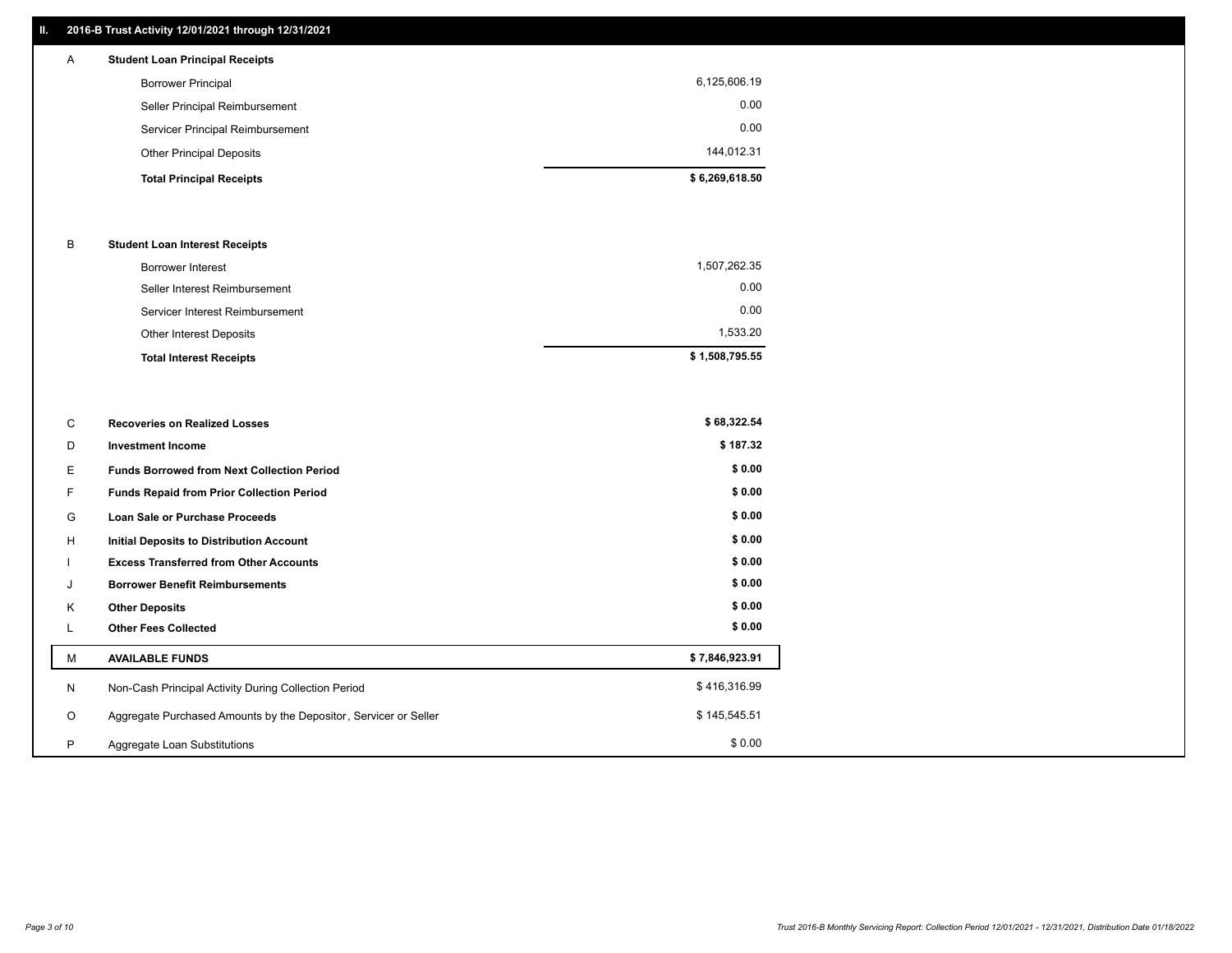## **II. 2016-B Trust Activity 12/01/2021 through 12/31/2021**

| А | <b>Student Loan Principal Receipts</b> |                |
|---|----------------------------------------|----------------|
|   | <b>Borrower Principal</b>              | 6,125,606.19   |
|   | Seller Principal Reimbursement         | 0.00           |
|   | Servicer Principal Reimbursement       | 0.00           |
|   | <b>Other Principal Deposits</b>        | 144,012.31     |
|   | <b>Total Principal Receipts</b>        | \$6,269,618.50 |

#### B **Student Loan Interest Receipts**

| <b>Total Interest Receipts</b>  | \$1,508,795.55 |
|---------------------------------|----------------|
| <b>Other Interest Deposits</b>  | 1,533.20       |
| Servicer Interest Reimbursement | 0.00           |
| Seller Interest Reimbursement   | 0.00           |
| Borrower Interest               | 1,507,262.35   |

| C       | <b>Recoveries on Realized Losses</b>                             | \$68,322.54    |
|---------|------------------------------------------------------------------|----------------|
| D       | <b>Investment Income</b>                                         | \$187.32       |
| Е.      | <b>Funds Borrowed from Next Collection Period</b>                | \$0.00         |
| F.      | <b>Funds Repaid from Prior Collection Period</b>                 | \$0.00         |
| G       | Loan Sale or Purchase Proceeds                                   | \$0.00         |
| H       | Initial Deposits to Distribution Account                         | \$0.00         |
|         | <b>Excess Transferred from Other Accounts</b>                    | \$0.00         |
|         | <b>Borrower Benefit Reimbursements</b>                           | \$0.00         |
| K       | <b>Other Deposits</b>                                            | \$0.00         |
| ┺       | <b>Other Fees Collected</b>                                      | \$0.00         |
| М       | <b>AVAILABLE FUNDS</b>                                           | \$7,846,923.91 |
| N       | Non-Cash Principal Activity During Collection Period             | \$416,316.99   |
| $\circ$ | Aggregate Purchased Amounts by the Depositor, Servicer or Seller | \$145,545.51   |
| P       | Aggregate Loan Substitutions                                     | \$0.00         |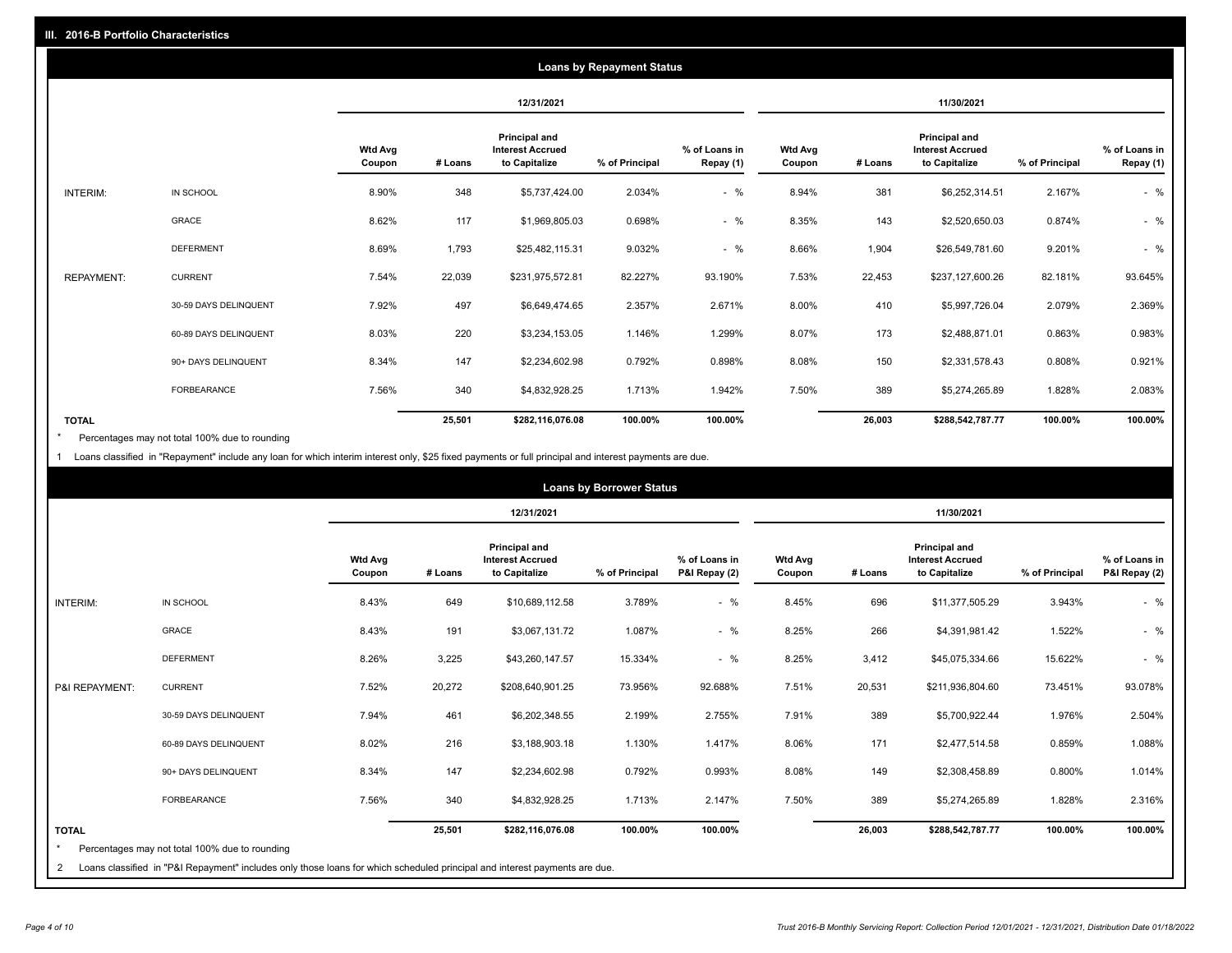|                   |                       |                          |         |                                                           | <b>Loans by Repayment Status</b> |                            |                          |         |                                                           |                |                            |
|-------------------|-----------------------|--------------------------|---------|-----------------------------------------------------------|----------------------------------|----------------------------|--------------------------|---------|-----------------------------------------------------------|----------------|----------------------------|
|                   |                       |                          |         | 12/31/2021                                                |                                  |                            |                          |         | 11/30/2021                                                |                |                            |
|                   |                       | <b>Wtd Avg</b><br>Coupon | # Loans | Principal and<br><b>Interest Accrued</b><br>to Capitalize | % of Principal                   | % of Loans in<br>Repay (1) | <b>Wtd Avg</b><br>Coupon | # Loans | Principal and<br><b>Interest Accrued</b><br>to Capitalize | % of Principal | % of Loans in<br>Repay (1) |
| INTERIM:          | IN SCHOOL             | 8.90%                    | 348     | \$5,737,424.00                                            | 2.034%                           | $-$ %                      | 8.94%                    | 381     | \$6,252,314.51                                            | 2.167%         | $-$ %                      |
|                   | GRACE                 | 8.62%                    | 117     | \$1,969,805.03                                            | 0.698%                           | $-$ %                      | 8.35%                    | 143     | \$2,520,650.03                                            | 0.874%         | $-$ %                      |
|                   | <b>DEFERMENT</b>      | 8.69%                    | 1,793   | \$25,482,115.31                                           | 9.032%                           | $-$ %                      | 8.66%                    | 1,904   | \$26,549,781.60                                           | 9.201%         | $-$ %                      |
| <b>REPAYMENT:</b> | <b>CURRENT</b>        | 7.54%                    | 22,039  | \$231,975,572.81                                          | 82.227%                          | 93.190%                    | 7.53%                    | 22,453  | \$237,127,600.26                                          | 82.181%        | 93.645%                    |
|                   | 30-59 DAYS DELINQUENT | 7.92%                    | 497     | \$6,649,474.65                                            | 2.357%                           | 2.671%                     | 8.00%                    | 410     | \$5,997,726.04                                            | 2.079%         | 2.369%                     |
|                   | 60-89 DAYS DELINQUENT | 8.03%                    | 220     | \$3,234,153.05                                            | 1.146%                           | 1.299%                     | 8.07%                    | 173     | \$2,488,871.01                                            | 0.863%         | 0.983%                     |
|                   | 90+ DAYS DELINQUENT   | 8.34%                    | 147     | \$2,234,602.98                                            | 0.792%                           | 0.898%                     | 8.08%                    | 150     | \$2,331,578.43                                            | 0.808%         | 0.921%                     |
|                   | FORBEARANCE           | 7.56%                    | 340     | \$4,832,928.25                                            | 1.713%                           | 1.942%                     | 7.50%                    | 389     | \$5,274,265.89                                            | 1.828%         | 2.083%                     |
| <b>TOTAL</b>      |                       |                          | 25,501  | \$282,116,076.08                                          | 100.00%                          | 100.00%                    |                          | 26,003  | \$288,542,787.77                                          | 100.00%        | 100.00%                    |

Percentages may not total 100% due to rounding \*

1 Loans classified in "Repayment" include any loan for which interim interest only, \$25 fixed payments or full principal and interest payments are due.

|                              | <b>Loans by Borrower Status</b>                                                                                                                                              |                          |         |                                                           |                |                                |                          |         |                                                                  |                |                                |
|------------------------------|------------------------------------------------------------------------------------------------------------------------------------------------------------------------------|--------------------------|---------|-----------------------------------------------------------|----------------|--------------------------------|--------------------------|---------|------------------------------------------------------------------|----------------|--------------------------------|
|                              |                                                                                                                                                                              |                          |         | 12/31/2021                                                |                |                                |                          |         | 11/30/2021                                                       |                |                                |
|                              |                                                                                                                                                                              | <b>Wtd Avg</b><br>Coupon | # Loans | Principal and<br><b>Interest Accrued</b><br>to Capitalize | % of Principal | % of Loans in<br>P&I Repay (2) | <b>Wtd Avg</b><br>Coupon | # Loans | <b>Principal and</b><br><b>Interest Accrued</b><br>to Capitalize | % of Principal | % of Loans in<br>P&I Repay (2) |
| <b>INTERIM:</b>              | IN SCHOOL                                                                                                                                                                    | 8.43%                    | 649     | \$10,689,112.58                                           | 3.789%         | $-$ %                          | 8.45%                    | 696     | \$11,377,505.29                                                  | 3.943%         | $-$ %                          |
|                              | <b>GRACE</b>                                                                                                                                                                 | 8.43%                    | 191     | \$3,067,131.72                                            | 1.087%         | $-$ %                          | 8.25%                    | 266     | \$4,391,981.42                                                   | 1.522%         | $-$ %                          |
|                              | <b>DEFERMENT</b>                                                                                                                                                             | 8.26%                    | 3,225   | \$43,260,147.57                                           | 15.334%        | $-$ %                          | 8.25%                    | 3,412   | \$45,075,334.66                                                  | 15.622%        | $-$ %                          |
| P&I REPAYMENT:               | <b>CURRENT</b>                                                                                                                                                               | 7.52%                    | 20,272  | \$208,640,901.25                                          | 73.956%        | 92.688%                        | 7.51%                    | 20,531  | \$211,936,804.60                                                 | 73.451%        | 93.078%                        |
|                              | 30-59 DAYS DELINQUENT                                                                                                                                                        | 7.94%                    | 461     | \$6,202,348.55                                            | 2.199%         | 2.755%                         | 7.91%                    | 389     | \$5,700,922.44                                                   | 1.976%         | 2.504%                         |
|                              | 60-89 DAYS DELINQUENT                                                                                                                                                        | 8.02%                    | 216     | \$3,188,903.18                                            | 1.130%         | 1.417%                         | 8.06%                    | 171     | \$2,477,514.58                                                   | 0.859%         | 1.088%                         |
|                              | 90+ DAYS DELINQUENT                                                                                                                                                          | 8.34%                    | 147     | \$2,234,602.98                                            | 0.792%         | 0.993%                         | 8.08%                    | 149     | \$2,308,458.89                                                   | 0.800%         | 1.014%                         |
|                              | <b>FORBEARANCE</b>                                                                                                                                                           | 7.56%                    | 340     | \$4,832,928.25                                            | 1.713%         | 2.147%                         | 7.50%                    | 389     | \$5,274,265.89                                                   | 1.828%         | 2.316%                         |
| <b>TOTAL</b><br>$\star$<br>2 | Percentages may not total 100% due to rounding<br>Loans classified in "P&I Repayment" includes only those loans for which scheduled principal and interest payments are due. |                          | 25,501  | \$282,116,076.08                                          | 100.00%        | 100.00%                        |                          | 26,003  | \$288,542,787.77                                                 | 100.00%        | 100.00%                        |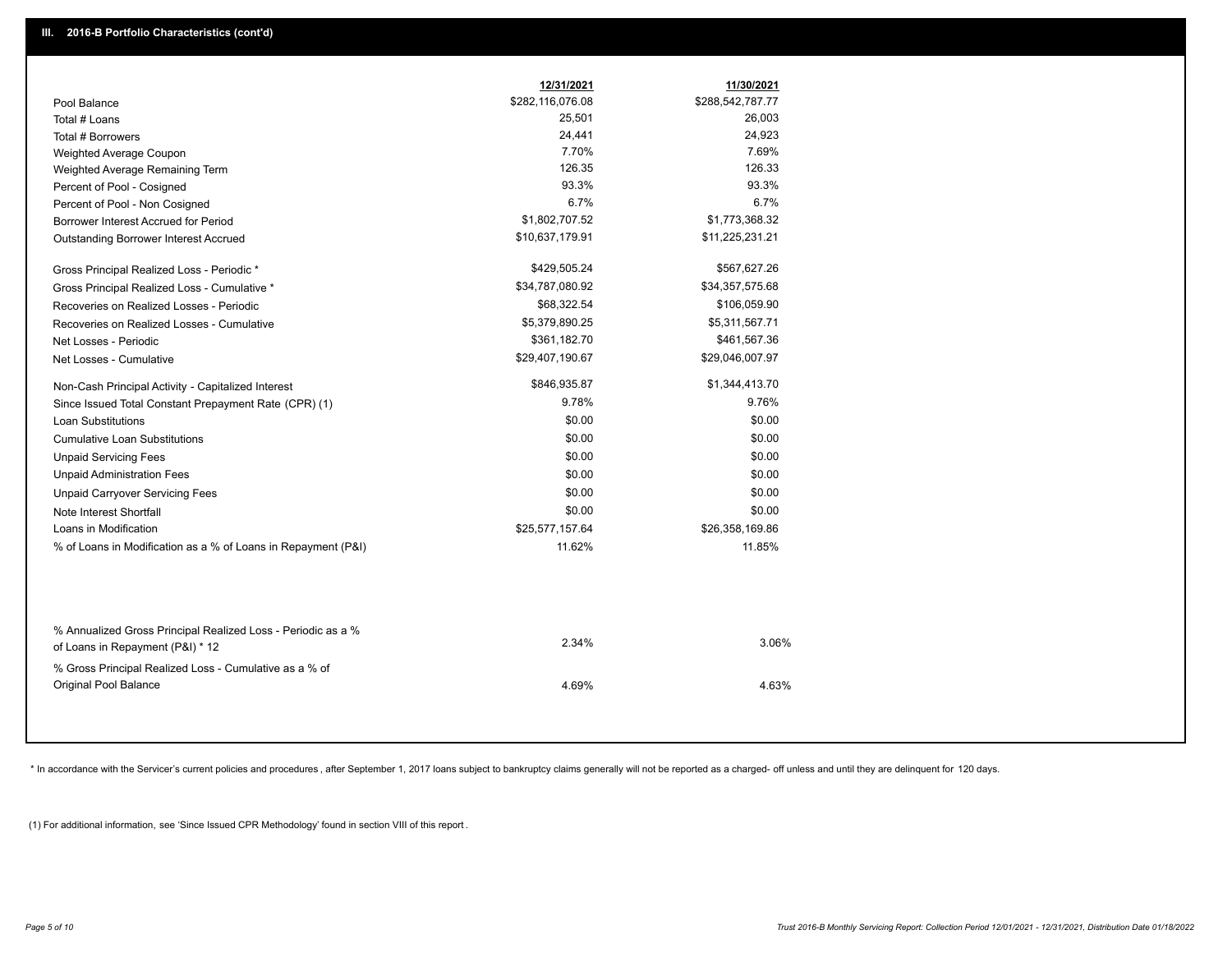|                                                                                        | 12/31/2021       | 11/30/2021       |
|----------------------------------------------------------------------------------------|------------------|------------------|
| Pool Balance                                                                           | \$282,116,076.08 | \$288,542,787.77 |
| Total # Loans                                                                          | 25,501           | 26,003           |
| Total # Borrowers                                                                      | 24,441           | 24,923           |
| Weighted Average Coupon                                                                | 7.70%            | 7.69%            |
| Weighted Average Remaining Term                                                        | 126.35           | 126.33           |
| Percent of Pool - Cosigned                                                             | 93.3%            | 93.3%            |
| Percent of Pool - Non Cosigned                                                         | 6.7%             | 6.7%             |
| Borrower Interest Accrued for Period                                                   | \$1,802,707.52   | \$1,773,368.32   |
| Outstanding Borrower Interest Accrued                                                  | \$10,637,179.91  | \$11,225,231.21  |
| Gross Principal Realized Loss - Periodic *                                             | \$429,505.24     | \$567,627.26     |
| Gross Principal Realized Loss - Cumulative *                                           | \$34,787,080.92  | \$34,357,575.68  |
| Recoveries on Realized Losses - Periodic                                               | \$68,322.54      | \$106,059.90     |
| Recoveries on Realized Losses - Cumulative                                             | \$5,379,890.25   | \$5,311,567.71   |
| Net Losses - Periodic                                                                  | \$361,182.70     | \$461,567.36     |
| Net Losses - Cumulative                                                                | \$29,407,190.67  | \$29,046,007.97  |
| Non-Cash Principal Activity - Capitalized Interest                                     | \$846,935.87     | \$1,344,413.70   |
| Since Issued Total Constant Prepayment Rate (CPR) (1)                                  | 9.78%            | 9.76%            |
| <b>Loan Substitutions</b>                                                              | \$0.00           | \$0.00           |
| <b>Cumulative Loan Substitutions</b>                                                   | \$0.00           | \$0.00           |
| <b>Unpaid Servicing Fees</b>                                                           | \$0.00           | \$0.00           |
| <b>Unpaid Administration Fees</b>                                                      | \$0.00           | \$0.00           |
| <b>Unpaid Carryover Servicing Fees</b>                                                 | \$0.00           | \$0.00           |
| Note Interest Shortfall                                                                | \$0.00           | \$0.00           |
| Loans in Modification                                                                  | \$25,577,157.64  | \$26,358,169.86  |
| % of Loans in Modification as a % of Loans in Repayment (P&I)                          | 11.62%           | 11.85%           |
| % Annualized Gross Principal Realized Loss - Periodic as a %                           |                  |                  |
| of Loans in Repayment (P&I) * 12                                                       | 2.34%            | 3.06%            |
| % Gross Principal Realized Loss - Cumulative as a % of<br><b>Original Pool Balance</b> | 4.69%            | 4.63%            |

\* In accordance with the Servicer's current policies and procedures, after September 1, 2017 loans subject to bankruptcy claims generally will not be reported as a charged- off unless and until they are delinquent for 120

(1) For additional information, see 'Since Issued CPR Methodology' found in section VIII of this report .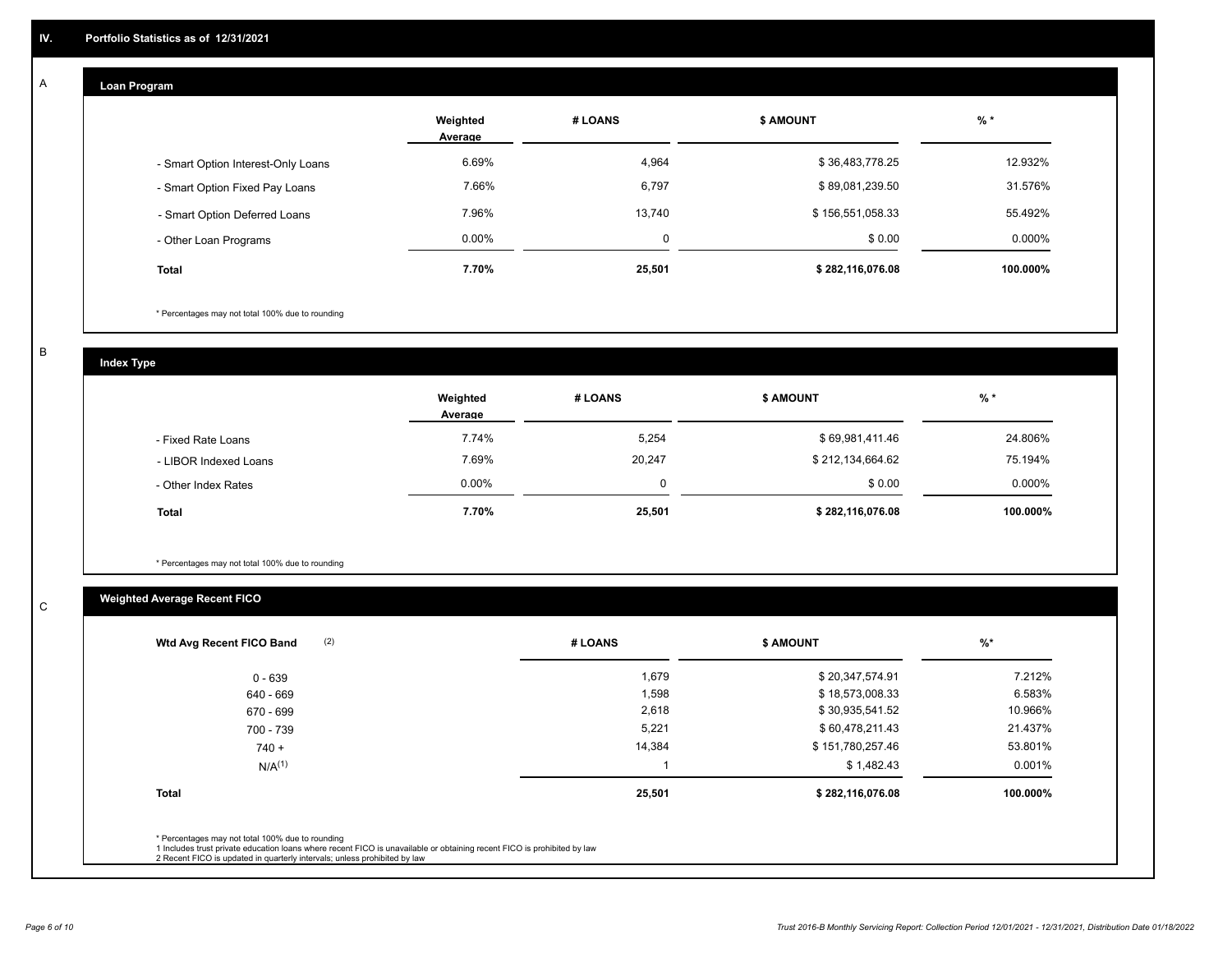#### **Loan Program**  A

|                                    | Weighted<br>Average | # LOANS  | <b>\$ AMOUNT</b> | $%$ *    |
|------------------------------------|---------------------|----------|------------------|----------|
| - Smart Option Interest-Only Loans | 6.69%               | 4,964    | \$36,483,778.25  | 12.932%  |
| - Smart Option Fixed Pay Loans     | 7.66%               | 6,797    | \$89,081,239.50  | 31.576%  |
| - Smart Option Deferred Loans      | 7.96%               | 13.740   | \$156,551,058.33 | 55.492%  |
| - Other Loan Programs              | $0.00\%$            | $\Omega$ | \$0.00           | 0.000%   |
| <b>Total</b>                       | 7.70%               | 25,501   | \$282,116,076.08 | 100.000% |

\* Percentages may not total 100% due to rounding

B

C

**Index Type**

|                       | Weighted<br>Average | # LOANS | <b>\$ AMOUNT</b> | $%$ *    |
|-----------------------|---------------------|---------|------------------|----------|
| - Fixed Rate Loans    | 7.74%               | 5,254   | \$69,981,411.46  | 24.806%  |
| - LIBOR Indexed Loans | 7.69%               | 20,247  | \$212,134,664.62 | 75.194%  |
| - Other Index Rates   | $0.00\%$            |         | \$0.00           | 0.000%   |
| <b>Total</b>          | 7.70%               | 25,501  | \$282,116,076.08 | 100.000% |

\* Percentages may not total 100% due to rounding

# **Weighted Average Recent FICO**

| (2)<br>Wtd Avg Recent FICO Band                                                                                                                                                                                                                          | # LOANS | \$ AMOUNT        | $%$ *    |
|----------------------------------------------------------------------------------------------------------------------------------------------------------------------------------------------------------------------------------------------------------|---------|------------------|----------|
| 0 - 639                                                                                                                                                                                                                                                  | 1,679   | \$20,347,574.91  | 7.212%   |
| 640 - 669                                                                                                                                                                                                                                                | 1,598   | \$18,573,008.33  | 6.583%   |
| 670 - 699                                                                                                                                                                                                                                                | 2,618   | \$30,935,541.52  | 10.966%  |
| 700 - 739                                                                                                                                                                                                                                                | 5,221   | \$60,478,211.43  | 21.437%  |
| $740 +$                                                                                                                                                                                                                                                  | 14,384  | \$151,780,257.46 | 53.801%  |
| $N/A^{(1)}$                                                                                                                                                                                                                                              |         | \$1,482.43       | 0.001%   |
| <b>Total</b>                                                                                                                                                                                                                                             | 25,501  | \$282,116,076.08 | 100.000% |
|                                                                                                                                                                                                                                                          |         |                  |          |
| * Percentages may not total 100% due to rounding<br>1 Includes trust private education loans where recent FICO is unavailable or obtaining recent FICO is prohibited by law<br>2 Recent FICO is updated in quarterly intervals; unless prohibited by law |         |                  |          |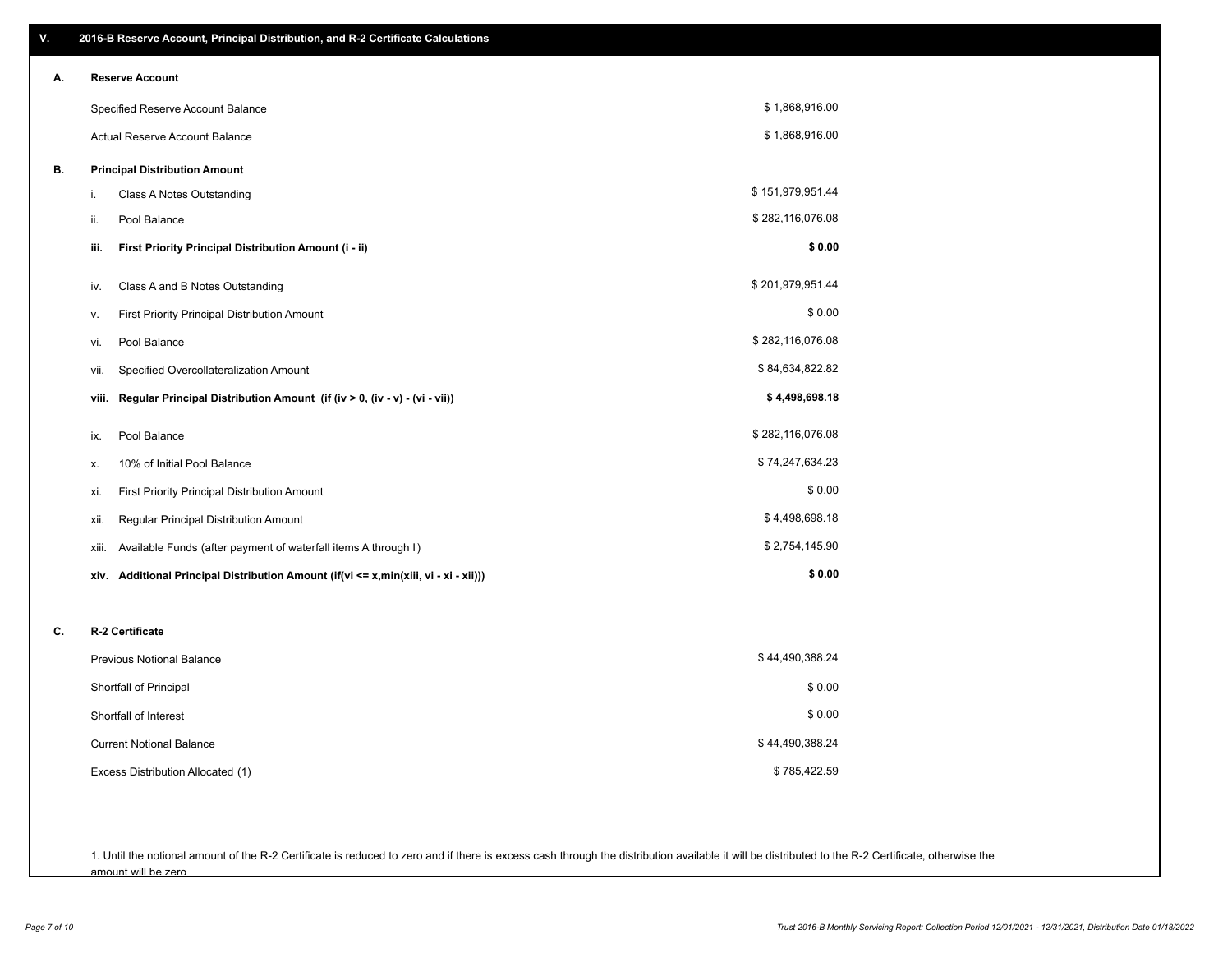| V. | 2016-B Reserve Account, Principal Distribution, and R-2 Certificate Calculations        |                  |
|----|-----------------------------------------------------------------------------------------|------------------|
| А. | <b>Reserve Account</b>                                                                  |                  |
|    | Specified Reserve Account Balance                                                       | \$1,868,916.00   |
|    | Actual Reserve Account Balance                                                          | \$1,868,916.00   |
| В. | <b>Principal Distribution Amount</b>                                                    |                  |
|    | Class A Notes Outstanding<br>i.                                                         | \$151,979,951.44 |
|    | Pool Balance<br>ii.                                                                     | \$282,116,076.08 |
|    | First Priority Principal Distribution Amount (i - ii)<br>iii.                           | \$0.00           |
|    | Class A and B Notes Outstanding<br>IV.                                                  | \$201,979,951.44 |
|    | First Priority Principal Distribution Amount<br>ν.                                      | \$0.00           |
|    | Pool Balance<br>vi.                                                                     | \$282,116,076.08 |
|    | Specified Overcollateralization Amount<br>vii.                                          | \$84,634,822.82  |
|    | Regular Principal Distribution Amount (if (iv > 0, (iv - v) - (vi - vii))<br>viii.      | \$4,498,698.18   |
|    | Pool Balance<br>ix.                                                                     | \$282,116,076.08 |
|    | 10% of Initial Pool Balance<br>х.                                                       | \$74,247,634.23  |
|    | First Priority Principal Distribution Amount<br>xi.                                     | \$0.00           |
|    | Regular Principal Distribution Amount<br>xii.                                           | \$4,498,698.18   |
|    | Available Funds (after payment of waterfall items A through I)<br>xiii.                 | \$2,754,145.90   |
|    | Additional Principal Distribution Amount (if(vi <= x,min(xiii, vi - xi - xii)))<br>xiv. | \$0.00           |
| C. | R-2 Certificate                                                                         |                  |
|    | <b>Previous Notional Balance</b>                                                        | \$44,490,388.24  |
|    | Shortfall of Principal                                                                  | \$0.00           |
|    | Shortfall of Interest                                                                   | \$0.00           |
|    | <b>Current Notional Balance</b>                                                         | \$44,490,388.24  |
|    | Excess Distribution Allocated (1)                                                       | \$785,422.59     |
|    |                                                                                         |                  |
|    |                                                                                         |                  |

1. Until the notional amount of the R-2 Certificate is reduced to zero and if there is excess cash through the distribution available it will be distributed to the R-2 Certificate, otherwise the amount will be zero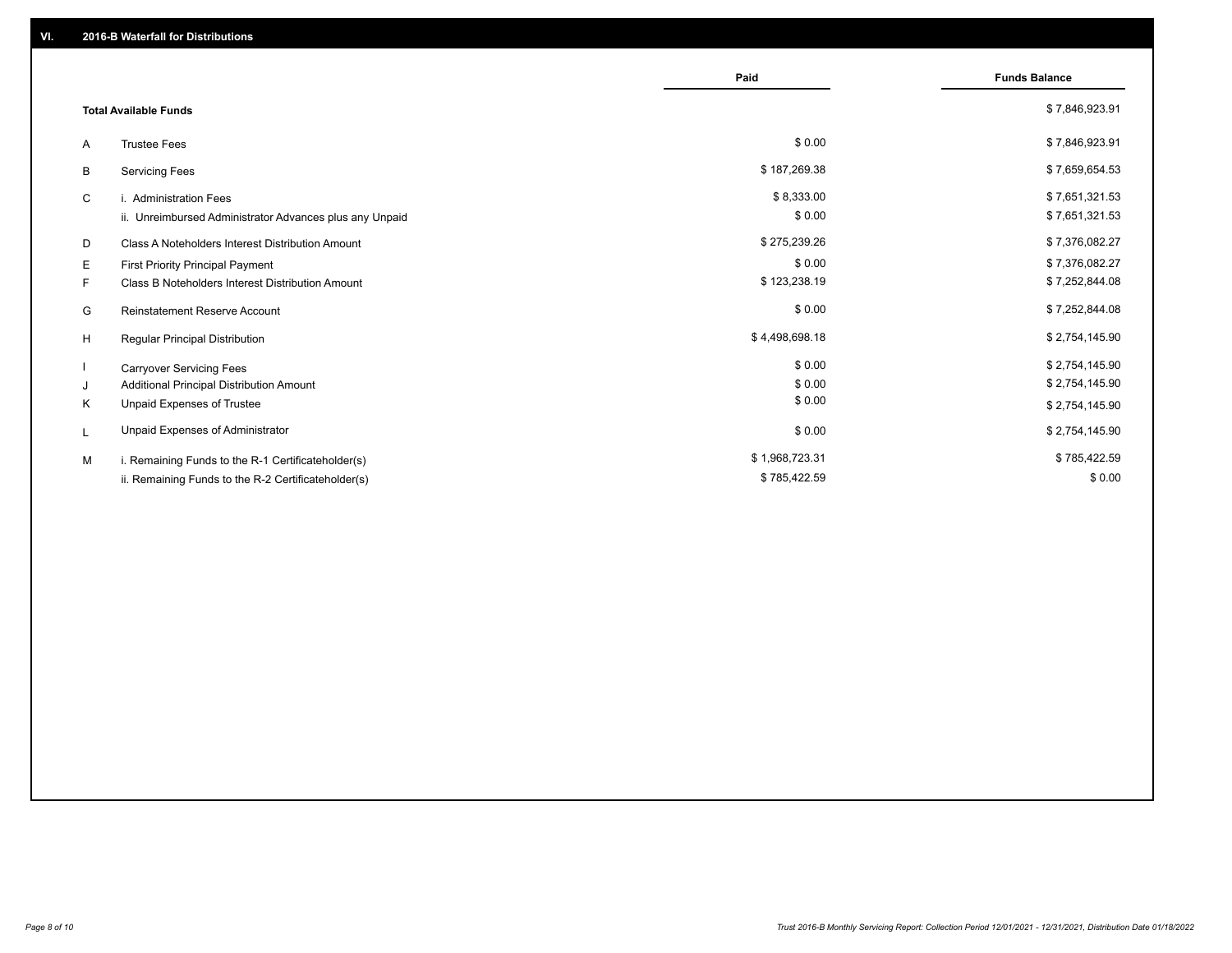|                                                         | Paid           | <b>Funds Balance</b> |
|---------------------------------------------------------|----------------|----------------------|
| <b>Total Available Funds</b>                            |                | \$7,846,923.91       |
| <b>Trustee Fees</b><br>A                                | \$0.00         | \$7,846,923.91       |
| <b>Servicing Fees</b><br>B                              | \$187,269.38   | \$7,659,654.53       |
| C<br>i. Administration Fees                             | \$8,333.00     | \$7,651,321.53       |
| ii. Unreimbursed Administrator Advances plus any Unpaid | \$0.00         | \$7,651,321.53       |
| D<br>Class A Noteholders Interest Distribution Amount   | \$275,239.26   | \$7,376,082.27       |
| Е<br>First Priority Principal Payment                   | \$0.00         | \$7,376,082.27       |
| F.<br>Class B Noteholders Interest Distribution Amount  | \$123,238.19   | \$7,252,844.08       |
| G<br><b>Reinstatement Reserve Account</b>               | \$0.00         | \$7,252,844.08       |
| H<br>Regular Principal Distribution                     | \$4,498,698.18 | \$2,754,145.90       |
| <b>Carryover Servicing Fees</b>                         | \$0.00         | \$2,754,145.90       |
| Additional Principal Distribution Amount<br>J           | \$0.00         | \$2,754,145.90       |
| Unpaid Expenses of Trustee<br>Κ                         | \$0.00         | \$2,754,145.90       |
| Unpaid Expenses of Administrator<br>L                   | \$0.00         | \$2,754,145.90       |
| M<br>i. Remaining Funds to the R-1 Certificateholder(s) | \$1,968,723.31 | \$785,422.59         |
| ii. Remaining Funds to the R-2 Certificateholder(s)     | \$785,422.59   | \$0.00               |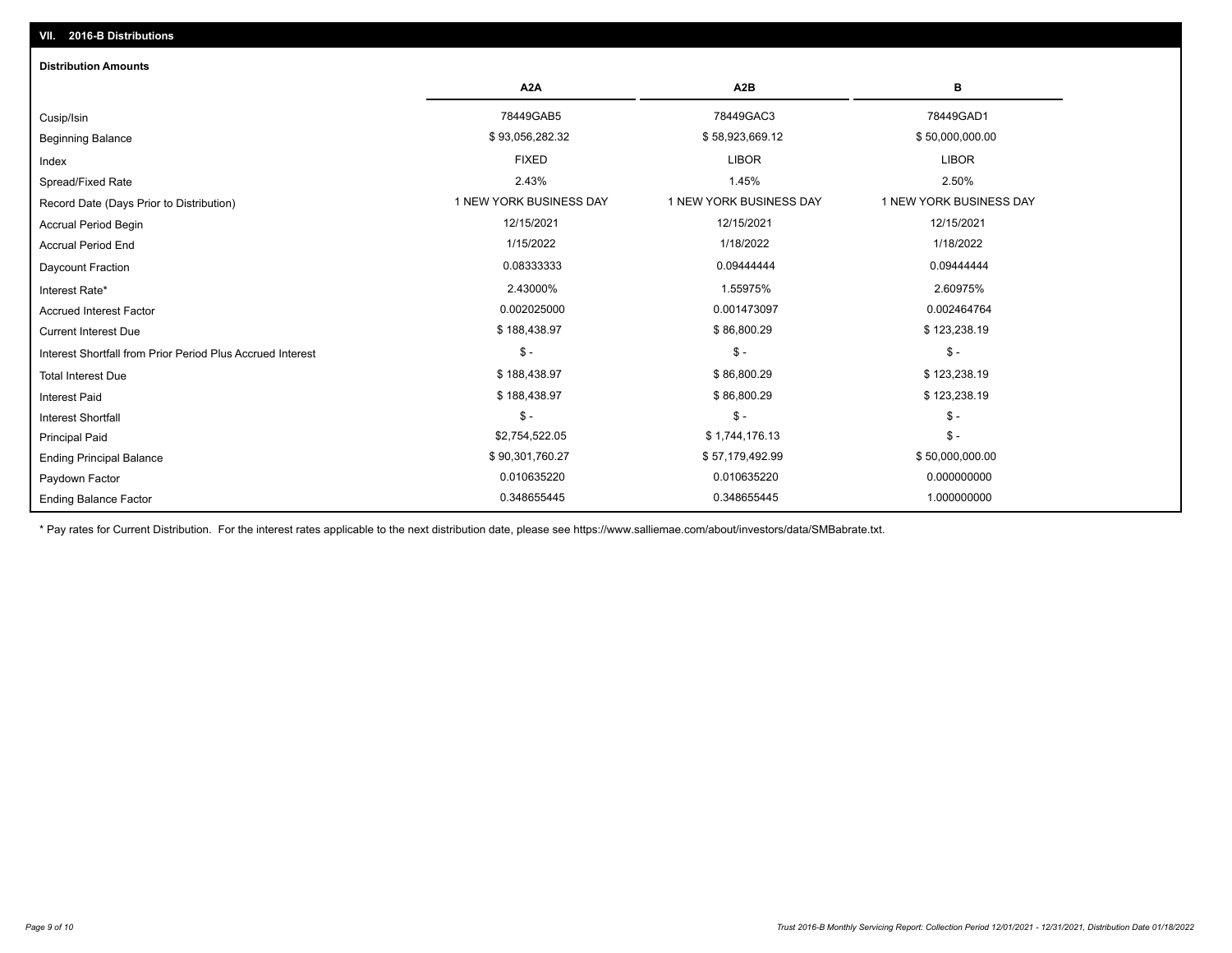# Ending Balance Factor Paydown Factor 0.010635220 0.010635220 0.000000000 Ending Principal Balance \$5,179,492.99 \$57,179,492.99 \$57,179,492.99 \$57,179,492.99 Principal Paid \$2,754,522.05 \$ 1,744,176.13 \$ - \$ - \$ - \$ - Interest Shortfall \$ 188,438.97 \$ 86,800.29 \$ 123,238.19 Interest Paid Total Interest Due \$ 188,438.97 \$ 86,800.29 \$ 123,238.19 \$ - \$ - \$ - Interest Shortfall from Prior Period Plus Accrued Interest Current Interest Due \$ 188,438.97 \$ 86,800.29 \$ 123,238.19 Accrued Interest Factor 0.002025000 0.001473097 0.002464764 Interest Rate\* 2.43000% 1.55975% 2.60975% Daycount Fraction 0.08333333 0.09444444 0.09444444 Accrual Period End 1/15/2022 1/18/2022 1/18/2022 Accrual Period Begin 12/15/2021 12/15/2021 12/15/2021 Record Date (Days Prior to Distribution) **1 NEW YORK BUSINESS DAY** 1 NEW YORK BUSINESS DAY 1 NEW YORK BUSINESS DAY Spread/Fixed Rate 2.43% 1.45% 2.50% Index FIXED LIBOR LIBOR Beginning Balance \$ 58,000,000.00 \$ \$93,056,282.32 \$ \$93,056,282.32 \$ \$58,923,669.12 \$ \$50,000,000.00 \$ \$50,000,000 Cusip/Isin 78449GAB5 78449GAC3 78449GAD1 **A2A A2B B** 0.348655445 0.348655445 1.000000000 **Distribution Amounts**

\* Pay rates for Current Distribution. For the interest rates applicable to the next distribution date, please see https://www.salliemae.com/about/investors/data/SMBabrate.txt.

**VII. 2016-B Distributions**